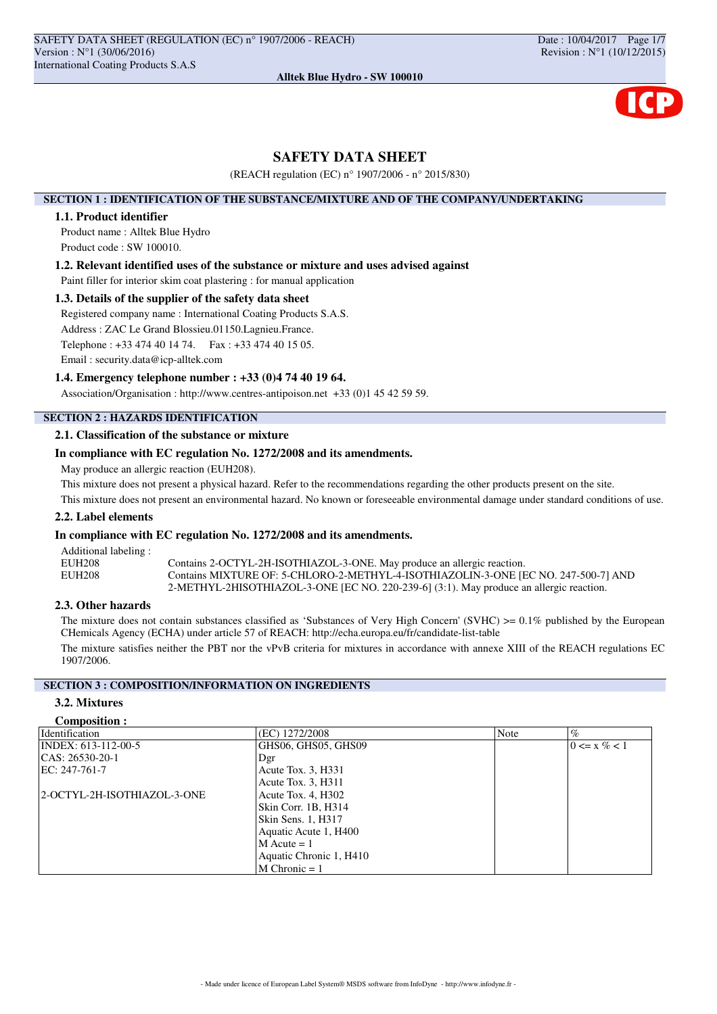# **SAFETY DATA SHEET**

(REACH regulation (EC) n° 1907/2006 - n° 2015/830)

### **SECTION 1 : IDENTIFICATION OF THE SUBSTANCE/MIXTURE AND OF THE COMPANY/UNDERTAKING**

# **1.1. Product identifier**

Product name : Alltek Blue Hydro Product code : SW 100010.

#### **1.2. Relevant identified uses of the substance or mixture and uses advised against**

Paint filler for interior skim coat plastering : for manual application

## **1.3. Details of the supplier of the safety data sheet**

Registered company name : International Coating Products S.A.S. Address : ZAC Le Grand Blossieu.01150.Lagnieu.France. Telephone : +33 474 40 14 74. Fax : +33 474 40 15 05.

Email : security.data@icp-alltek.com

#### **1.4. Emergency telephone number : +33 (0)4 74 40 19 64.**

Association/Organisation : http://www.centres-antipoison.net +33 (0)1 45 42 59 59.

# **SECTION 2 : HAZARDS IDENTIFICATION**

## **2.1. Classification of the substance or mixture**

## **In compliance with EC regulation No. 1272/2008 and its amendments.**

May produce an allergic reaction (EUH208).

This mixture does not present a physical hazard. Refer to the recommendations regarding the other products present on the site.

This mixture does not present an environmental hazard. No known or foreseeable environmental damage under standard conditions of use.

# **2.2. Label elements**

## **In compliance with EC regulation No. 1272/2008 and its amendments.**

Additional labeling : EUH208 Contains 2-OCTYL-2H-ISOTHIAZOL-3-ONE. May produce an allergic reaction.<br>
Contains MIXTURE OF: 5-CHLORO-2-METHYL-4-ISOTHIAZOLIN-3-ONE IF Contains MIXTURE OF: 5-CHLORO-2-METHYL-4-ISOTHIAZOLIN-3-ONE [EC NO. 247-500-7] AND 2-METHYL-2HISOTHIAZOL-3-ONE [EC NO. 220-239-6] (3:1). May produce an allergic reaction.

## **2.3. Other hazards**

The mixture does not contain substances classified as 'Substances of Very High Concern' (SVHC) >= 0.1% published by the European CHemicals Agency (ECHA) under article 57 of REACH: http://echa.europa.eu/fr/candidate-list-table

The mixture satisfies neither the PBT nor the vPvB criteria for mixtures in accordance with annexe XIII of the REACH regulations EC 1907/2006.

# **SECTION 3 : COMPOSITION/INFORMATION ON INGREDIENTS**

# **3.2. Mixtures**

#### **Composition :**

| <b>Identification</b>       | (EC) 1272/2008          | Note | $\%$             |
|-----------------------------|-------------------------|------|------------------|
| INDEX: 613-112-00-5         | GHS06, GHS05, GHS09     |      | $0 \le x \% < 1$ |
| CAS: 26530-20-1             | Dgr                     |      |                  |
| EC: $247-761-7$             | Acute Tox. 3, H331      |      |                  |
|                             | Acute Tox. 3, H311      |      |                  |
| 2-OCTYL-2H-ISOTHIAZOL-3-ONE | Acute Tox. 4, H302      |      |                  |
|                             | Skin Corr. 1B, H314     |      |                  |
|                             | Skin Sens. 1, H317      |      |                  |
|                             | Aquatic Acute 1, H400   |      |                  |
|                             | $M$ Acute = 1           |      |                  |
|                             | Aquatic Chronic 1, H410 |      |                  |
|                             | $M$ Chronic = 1         |      |                  |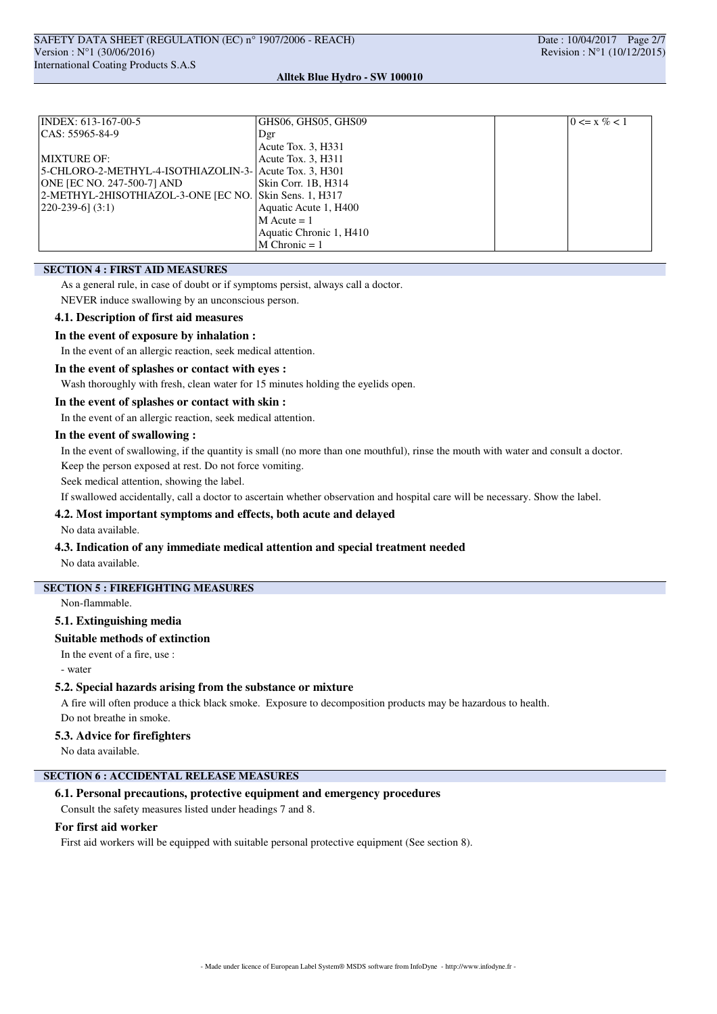| INDEX: 613-167-00-5                                    | GHS06, GHS05, GHS09     | $0 \le x \% < 1$ |
|--------------------------------------------------------|-------------------------|------------------|
| $ CAS: 55965-84-9$                                     | Dgr                     |                  |
|                                                        | Acute Tox. 3, H331      |                  |
| <b>MIXTURE OF:</b>                                     | Acute Tox. 3, H311      |                  |
| 5-CHLORO-2-METHYL-4-ISOTHIAZOLIN-3- Acute Tox. 3. H301 |                         |                  |
| ONE JEC NO. 247-500-71 AND                             | Skin Corr. 1B, H314     |                  |
| 2-METHYL-2HISOTHIAZOL-3-ONE [EC NO. Skin Sens. 1, H317 |                         |                  |
| $[220-239-6]$ (3:1)                                    | Aquatic Acute 1, H400   |                  |
|                                                        | $M$ Acute = 1           |                  |
|                                                        | Aquatic Chronic 1, H410 |                  |
|                                                        | $M$ Chronic = 1         |                  |

## **SECTION 4 : FIRST AID MEASURES**

As a general rule, in case of doubt or if symptoms persist, always call a doctor.

NEVER induce swallowing by an unconscious person.

#### **4.1. Description of first aid measures**

### **In the event of exposure by inhalation :**

In the event of an allergic reaction, seek medical attention.

### **In the event of splashes or contact with eyes :**

Wash thoroughly with fresh, clean water for 15 minutes holding the eyelids open.

### **In the event of splashes or contact with skin :**

In the event of an allergic reaction, seek medical attention.

## **In the event of swallowing :**

In the event of swallowing, if the quantity is small (no more than one mouthful), rinse the mouth with water and consult a doctor. Keep the person exposed at rest. Do not force vomiting.

Seek medical attention, showing the label.

If swallowed accidentally, call a doctor to ascertain whether observation and hospital care will be necessary. Show the label.

### **4.2. Most important symptoms and effects, both acute and delayed**

No data available.

## **4.3. Indication of any immediate medical attention and special treatment needed**

No data available.

### **SECTION 5 : FIREFIGHTING MEASURES**

Non-flammable.

### **5.1. Extinguishing media**

## **Suitable methods of extinction**

In the event of a fire, use :

- water

#### **5.2. Special hazards arising from the substance or mixture**

A fire will often produce a thick black smoke. Exposure to decomposition products may be hazardous to health. Do not breathe in smoke.

#### **5.3. Advice for firefighters**

No data available.

# **SECTION 6 : ACCIDENTAL RELEASE MEASURES**

#### **6.1. Personal precautions, protective equipment and emergency procedures**

Consult the safety measures listed under headings 7 and 8.

#### **For first aid worker**

First aid workers will be equipped with suitable personal protective equipment (See section 8).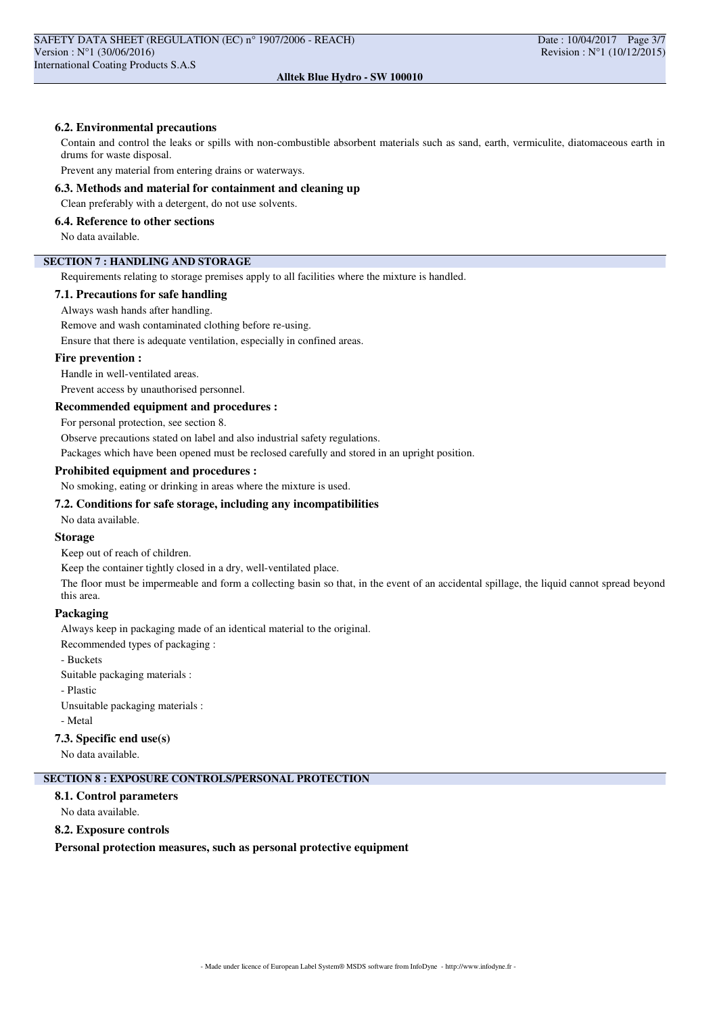## **6.2. Environmental precautions**

Contain and control the leaks or spills with non-combustible absorbent materials such as sand, earth, vermiculite, diatomaceous earth in drums for waste disposal.

Prevent any material from entering drains or waterways.

**6.3. Methods and material for containment and cleaning up**

Clean preferably with a detergent, do not use solvents.

#### **6.4. Reference to other sections**

No data available.

# **SECTION 7 : HANDLING AND STORAGE**

Requirements relating to storage premises apply to all facilities where the mixture is handled.

**7.1. Precautions for safe handling**

Always wash hands after handling.

Remove and wash contaminated clothing before re-using.

Ensure that there is adequate ventilation, especially in confined areas.

#### **Fire prevention :**

Handle in well-ventilated areas.

Prevent access by unauthorised personnel.

### **Recommended equipment and procedures :**

For personal protection, see section 8.

Observe precautions stated on label and also industrial safety regulations.

Packages which have been opened must be reclosed carefully and stored in an upright position.

### **Prohibited equipment and procedures :**

No smoking, eating or drinking in areas where the mixture is used.

#### **7.2. Conditions for safe storage, including any incompatibilities**

No data available.

### **Storage**

Keep out of reach of children.

Keep the container tightly closed in a dry, well-ventilated place.

The floor must be impermeable and form a collecting basin so that, in the event of an accidental spillage, the liquid cannot spread beyond this area.

## **Packaging**

Always keep in packaging made of an identical material to the original.

Recommended types of packaging :

- Buckets

Suitable packaging materials :

- Plastic

Unsuitable packaging materials :

- Metal

#### **7.3. Specific end use(s)**

No data available.

#### **SECTION 8 : EXPOSURE CONTROLS/PERSONAL PROTECTION**

**8.1. Control parameters**

No data available.

#### **8.2. Exposure controls**

**Personal protection measures, such as personal protective equipment**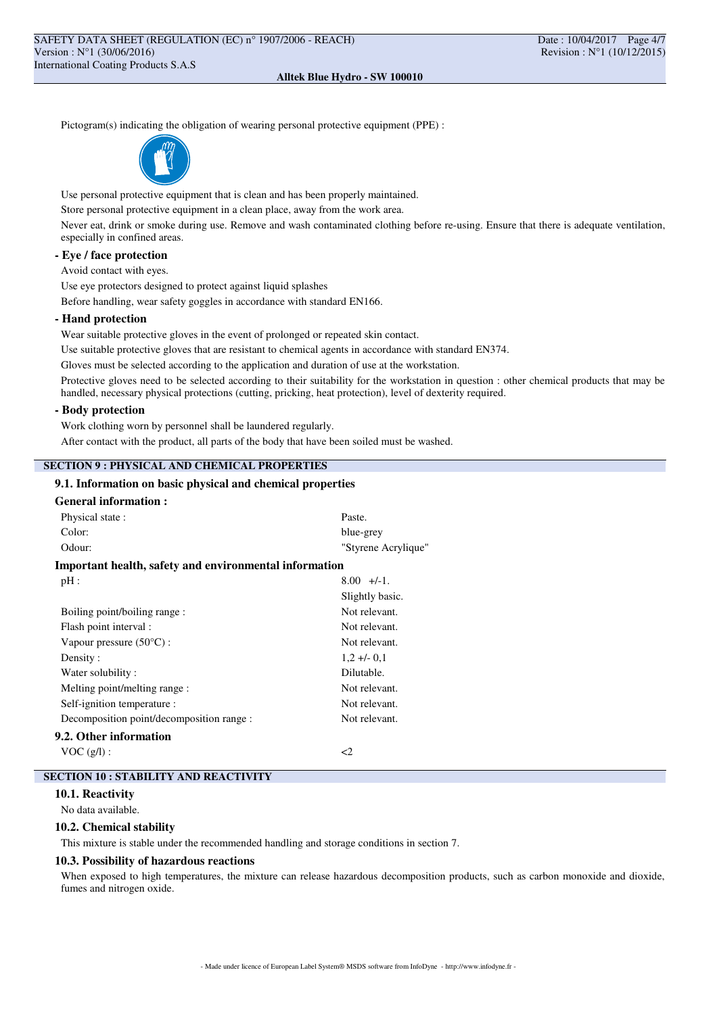Pictogram(s) indicating the obligation of wearing personal protective equipment (PPE) :



Use personal protective equipment that is clean and has been properly maintained.

Store personal protective equipment in a clean place, away from the work area.

Never eat, drink or smoke during use. Remove and wash contaminated clothing before re-using. Ensure that there is adequate ventilation, especially in confined areas.

### **- Eye / face protection**

Avoid contact with eyes.

Use eye protectors designed to protect against liquid splashes Before handling, wear safety goggles in accordance with standard EN166.

#### **- Hand protection**

Wear suitable protective gloves in the event of prolonged or repeated skin contact.

Use suitable protective gloves that are resistant to chemical agents in accordance with standard EN374.

Gloves must be selected according to the application and duration of use at the workstation.

Protective gloves need to be selected according to their suitability for the workstation in question : other chemical products that may be handled, necessary physical protections (cutting, pricking, heat protection), level of dexterity required.

### **- Body protection**

Work clothing worn by personnel shall be laundered regularly.

After contact with the product, all parts of the body that have been soiled must be washed.

## **SECTION 9 : PHYSICAL AND CHEMICAL PROPERTIES**

## **9.1. Information on basic physical and chemical properties**

| <b>General information:</b>                            |                     |  |
|--------------------------------------------------------|---------------------|--|
| Physical state:                                        | Paste.              |  |
| Color:                                                 | blue-grey           |  |
| Odour:                                                 | "Styrene Acrylique" |  |
| Important health, safety and environmental information |                     |  |
| $pH$ :                                                 | $8.00 +/-1$ .       |  |
|                                                        | Slightly basic.     |  |
| Not relevant.<br>Boiling point/boiling range:          |                     |  |
| Flash point interval :                                 | Not relevant.       |  |
| Vapour pressure $(50^{\circ}C)$ :                      | Not relevant.       |  |
| Density:                                               | $1,2 +1$ - 0,1      |  |
| Water solubility:                                      | Dilutable.          |  |
| Melting point/melting range :                          | Not relevant.       |  |
| Self-ignition temperature :                            | Not relevant.       |  |
| Decomposition point/decomposition range :              | Not relevant.       |  |
| 9.2. Other information                                 |                     |  |
| VOC(g/l):                                              | <2                  |  |

## **SECTION 10 : STABILITY AND REACTIVITY**

#### **10.1. Reactivity**

No data available.

### **10.2. Chemical stability**

This mixture is stable under the recommended handling and storage conditions in section 7.

#### **10.3. Possibility of hazardous reactions**

When exposed to high temperatures, the mixture can release hazardous decomposition products, such as carbon monoxide and dioxide, fumes and nitrogen oxide.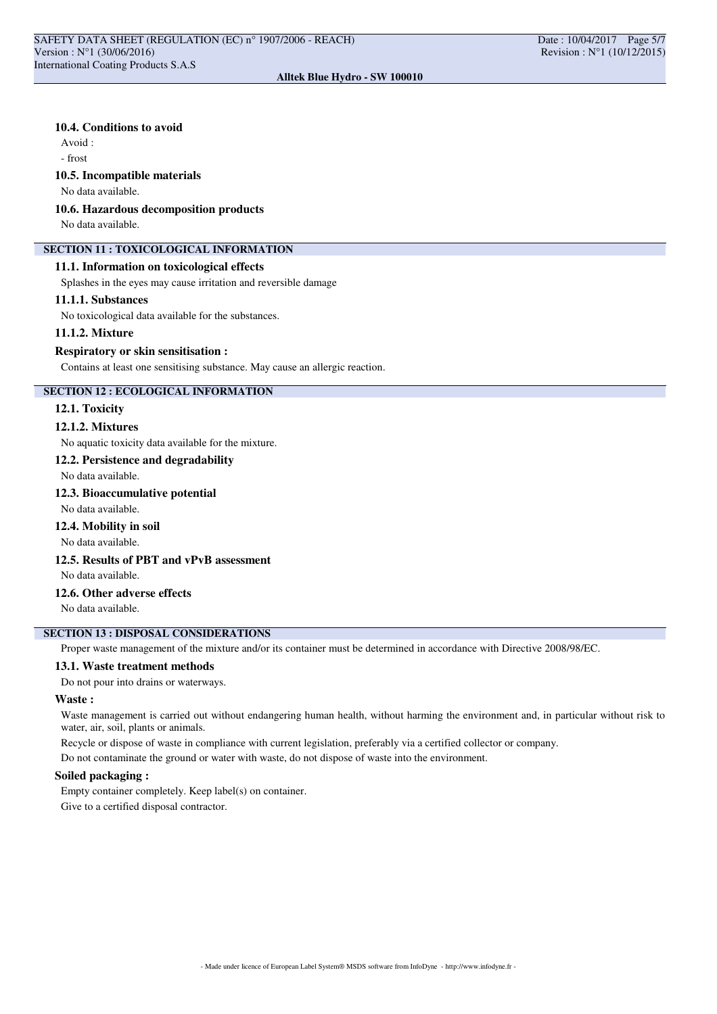## **10.4. Conditions to avoid**

Avoid :

- frost

### **10.5. Incompatible materials**

No data available.

#### **10.6. Hazardous decomposition products**

No data available.

### **SECTION 11 : TOXICOLOGICAL INFORMATION**

### **11.1. Information on toxicological effects**

Splashes in the eyes may cause irritation and reversible damage

#### **11.1.1. Substances**

No toxicological data available for the substances.

#### **11.1.2. Mixture**

#### **Respiratory or skin sensitisation :**

Contains at least one sensitising substance. May cause an allergic reaction.

## **SECTION 12 : ECOLOGICAL INFORMATION**

### **12.1. Toxicity**

### **12.1.2. Mixtures**

No aquatic toxicity data available for the mixture.

#### **12.2. Persistence and degradability**

No data available.

# **12.3. Bioaccumulative potential**

No data available.

## **12.4. Mobility in soil**

No data available.

# **12.5. Results of PBT and vPvB assessment**

No data available.

# **12.6. Other adverse effects**

No data available.

# **SECTION 13 : DISPOSAL CONSIDERATIONS**

Proper waste management of the mixture and/or its container must be determined in accordance with Directive 2008/98/EC.

### **13.1. Waste treatment methods**

Do not pour into drains or waterways.

### **Waste :**

Waste management is carried out without endangering human health, without harming the environment and, in particular without risk to water, air, soil, plants or animals.

Recycle or dispose of waste in compliance with current legislation, preferably via a certified collector or company.

Do not contaminate the ground or water with waste, do not dispose of waste into the environment.

## **Soiled packaging :**

Empty container completely. Keep label(s) on container.

Give to a certified disposal contractor.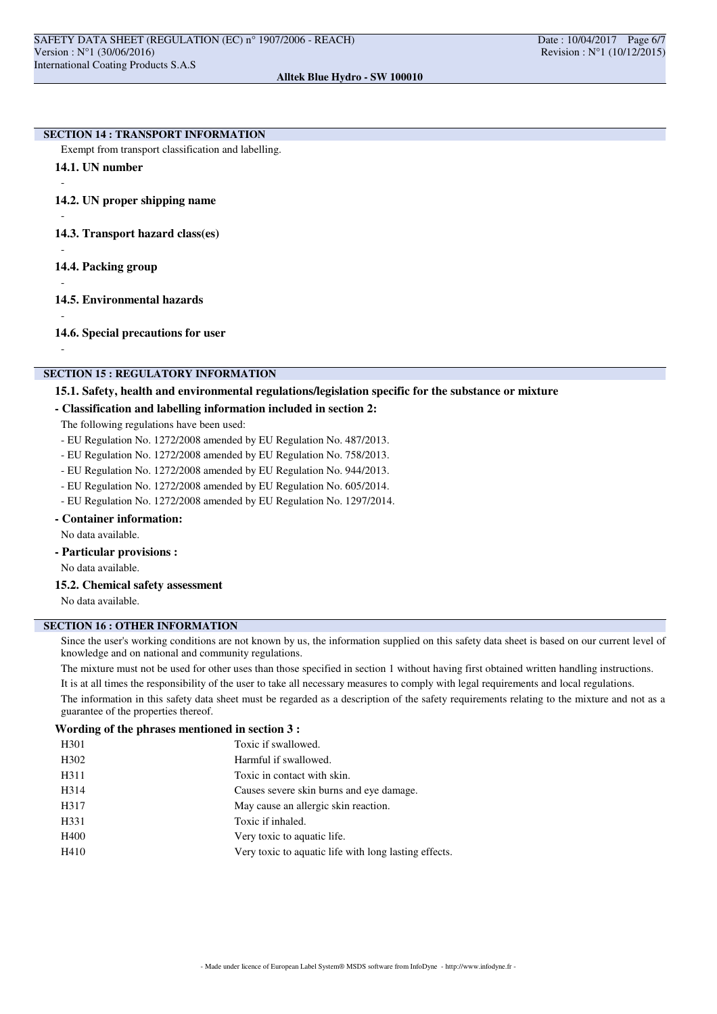#### **SECTION 14 : TRANSPORT INFORMATION**

Exempt from transport classification and labelling.

**14.1. UN number**

-

-

-

-

-

-

**14.2. UN proper shipping name**

**14.3. Transport hazard class(es)**

- **14.4. Packing group**
- **14.5. Environmental hazards**

**14.6. Special precautions for user**

### **SECTION 15 : REGULATORY INFORMATION**

# **15.1. Safety, health and environmental regulations/legislation specific for the substance or mixture**

### **- Classification and labelling information included in section 2:**

The following regulations have been used:

- EU Regulation No. 1272/2008 amended by EU Regulation No. 487/2013.
- EU Regulation No. 1272/2008 amended by EU Regulation No. 758/2013.
- EU Regulation No. 1272/2008 amended by EU Regulation No. 944/2013.
- EU Regulation No. 1272/2008 amended by EU Regulation No. 605/2014.
- EU Regulation No. 1272/2008 amended by EU Regulation No. 1297/2014.

# **- Container information:**

No data available.

**- Particular provisions :**

No data available.

**15.2. Chemical safety assessment**

No data available.

# **SECTION 16 : OTHER INFORMATION**

Since the user's working conditions are not known by us, the information supplied on this safety data sheet is based on our current level of knowledge and on national and community regulations.

The mixture must not be used for other uses than those specified in section 1 without having first obtained written handling instructions. It is at all times the responsibility of the user to take all necessary measures to comply with legal requirements and local regulations.

The information in this safety data sheet must be regarded as a description of the safety requirements relating to the mixture and not as a guarantee of the properties thereof.

#### **Wording of the phrases mentioned in section 3 :**

| H <sub>301</sub> | Toxic if swallowed.                                   |
|------------------|-------------------------------------------------------|
| H <sub>302</sub> | Harmful if swallowed.                                 |
| H311             | Toxic in contact with skin.                           |
| H314             | Causes severe skin burns and eye damage.              |
| H317             | May cause an allergic skin reaction.                  |
| H331             | Toxic if inhaled.                                     |
| H400             | Very toxic to aquatic life.                           |
| H410             | Very toxic to aquatic life with long lasting effects. |
|                  |                                                       |